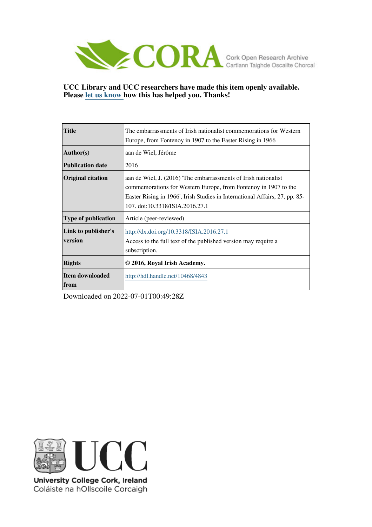

# **UCC Library and UCC researchers have made this item openly available. Please [let us know h](https://libguides.ucc.ie/openaccess/impact?suffix=4843&title=The embarrassments of Irish nationalist commemorations for Western Europe, from Fontenoy in 1907 to the Easter Rising in 1966)ow this has helped you. Thanks!**

| <b>Title</b>                   | The embarrassments of Irish nationalist commemorations for Western<br>Europe, from Fontenoy in 1907 to the Easter Rising in 1966                                                                                                                    |
|--------------------------------|-----------------------------------------------------------------------------------------------------------------------------------------------------------------------------------------------------------------------------------------------------|
| Author(s)                      | aan de Wiel, Jérôme                                                                                                                                                                                                                                 |
| <b>Publication date</b>        | 2016                                                                                                                                                                                                                                                |
| <b>Original citation</b>       | aan de Wiel, J. (2016) The embarrassments of Irish nationalist<br>commemorations for Western Europe, from Fontenoy in 1907 to the<br>Easter Rising in 1966', Irish Studies in International Affairs, 27, pp. 85-<br>107. doi:10.3318/ISIA.2016.27.1 |
| Type of publication            | Article (peer-reviewed)                                                                                                                                                                                                                             |
| Link to publisher's<br>version | http://dx.doi.org/10.3318/ISIA.2016.27.1<br>Access to the full text of the published version may require a<br>subscription.                                                                                                                         |
| <b>Rights</b>                  | © 2016, Royal Irish Academy.                                                                                                                                                                                                                        |
| Item downloaded<br><b>from</b> | http://hdl.handle.net/10468/4843                                                                                                                                                                                                                    |

Downloaded on 2022-07-01T00:49:28Z



University College Cork, Ireland Coláiste na hOllscoile Corcaigh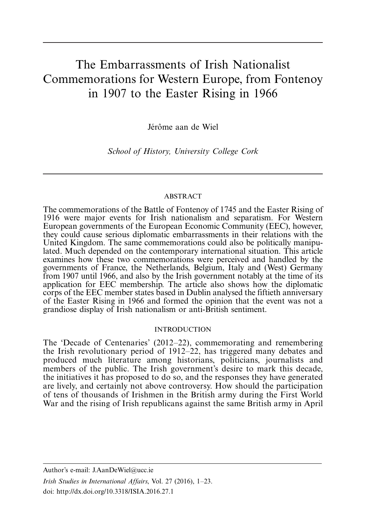# The Embarrassments of Irish Nationalist Commemorations for Western Europe, from Fontenoy in 1907 to the Easter Rising in 1966

Jérôme aan de Wiel

School of History, University College Cork

# ABSTRACT

The commemorations of the Battle of Fontenoy of 1745 and the Easter Rising of 1916 were major events for Irish nationalism and separatism. For Western European governments of the European Economic Community (EEC), however, they could cause serious diplomatic embarrassments in their relations with the United Kingdom. The same commemorations could also be politically manipulated. Much depended on the contemporary international situation. This article examines how these two commemorations were perceived and handled by the governments of France, the Netherlands, Belgium, Italy and (West) Germany from 1907 until 1966, and also by the Irish government notably at the time of its application for EEC membership. The article also shows how the diplomatic corps of the EEC member states based in Dublin analysed the fiftieth anniversary of the Easter Rising in 1966 and formed the opinion that the event was not a grandiose display of Irish nationalism or anti-British sentiment.

# INTRODUCTION

The 'Decade of Centenaries' (2012-22), commemorating and remembering the Irish revolutionary period of 1912-22, has triggered many debates and produced much literature among historians, politicians, journalists and members of the public. The Irish government's desire to mark this decade, the initiatives it has proposed to do so, and the responses they have generated are lively, and certainly not above controversy. How should the participation of tens of thousands of Irishmen in the British army during the First World War and the rising of Irish republicans against the same British army in April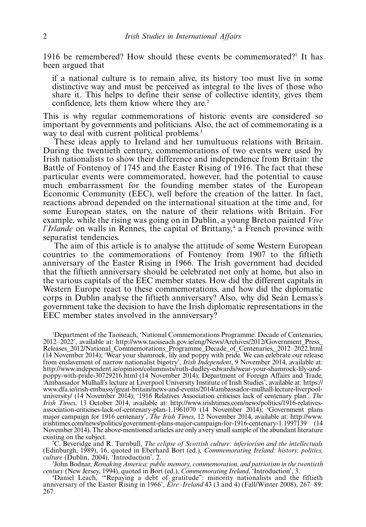1916 be remembered? How should these events be commemorated?<sup>1</sup> It has been argued that

if a national culture is to remain alive, its history too must live in some distinctive way and must be perceived as integral to the lives of those who share it. This helps to define their sense of collective identity, gives them confidence, lets them know where they are.<sup>2</sup>

This is why regular commemorations of historic events are considered so important by governments and politicians. Also, the act of commemorating is a way to deal with current political problems.<sup>3</sup>

These ideas apply to Ireland and her tumultuous relations with Britain. During the twentieth century, commemorations of two events were used by Irish nationalists to show their difference and independence from Britain: the Battle of Fontenoy of 1745 and the Easter Rising of 1916. The fact that these particular events were commemorated, however, had the potential to cause much embarrassment for the founding member states of the European Economic Community (EEC), well before the creation of the latter. In fact, reactions abroad depended on the international situation at the time and, for some European states, on the nature of their relations with Britain. For example, while the rising was going on in Dublin, a young Breton painted Vive  $l'Irlande$  on walls in Rennes, the capital of Brittany,<sup>4</sup> a French province with separatist tendencies.

The aim of this article is to analyse the attitude of some Western European countries to the commemorations of Fontenoy from 1907 to the fiftieth anniversary of the Easter Rising in 1966. The Irish government had decided that the fiftieth anniversary should be celebrated not only at home, but also in the various capitals of the EEC member states. How did the different capitals in Western Europe react to these commemorations, and how did the diplomatic corps in Dublin analyse the fiftieth anniversary? Also, why did Seán Lemass's government take the decision to have the Irish diplomatic representations in the EEC member states involved in the anniversary?

1 Department of the Taoiseach, 'National Commemorations Programme: Decade of Centenaries, 2012-2022', available at: [http://www.taoiseach.gov.ie/eng/News/Archives/2012/Government\\_Press\\_](http://www.taoiseach.gov.ie/eng/News/Archives/2012/Government_Press_Releases_2012/National_Commemorations_Programme_Decade_of_Centenaries,_2012–2022.html) [Releases\\_2012/National\\_Commemorations\\_Programme\\_Decade\\_of\\_Centenaries,\\_2012](http://www.taoiseach.gov.ie/eng/News/Archives/2012/Government_Press_Releases_2012/National_Commemorations_Programme_Decade_of_Centenaries,_2012–2022.html)[-](http://www.taoiseach.gov.ie/eng/News/Archives/2012/Government_Press_Releases_2012/National_Commemorations_Programme_Decade_of_Centenaries,_2012–2022.html)[2022.html](http://www.taoiseach.gov.ie/eng/News/Archives/2012/Government_Press_Releases_2012/National_Commemorations_Programme_Decade_of_Centenaries,_2012–2022.html) (14 November 2014); 'Wear your shamrock, lily and poppy with pride. We can celebrate our release from enslavement of narrow nationalist bigotry', Irish Independent, 9 November 2014, available at: [http://www.independent.ie/opinion/columnists/ruth-dudley-edwards/wear-your-shamrock-lily-and](http://www.independent.ie/opinion/columnists/ruth-dudley-edwards/wear-your-shamrock-lily-and-poppy-with-pride-30729216.html)[poppy-with-pride-30729216.html](http://www.independent.ie/opinion/columnists/ruth-dudley-edwards/wear-your-shamrock-lily-and-poppy-with-pride-30729216.html) (14 November 2014); Department of Foreign Affairs and Trade, 'Ambassador Mulhall's lecture at Liverpool University Institute of Irish Studies', available at: [https://](http://https://www.dfa.ie/irish-embassy/great-britain/news-and-events/2014/ambassador-mulhall-lecture-liverpool-university/) [www.dfa.ie/irish-embassy/great-britain/news-and-events/2014/ambassador-mulhall-lecture-liverpool](http://https://www.dfa.ie/irish-embassy/great-britain/news-and-events/2014/ambassador-mulhall-lecture-liverpool-university/)[university/](http://https://www.dfa.ie/irish-embassy/great-britain/news-and-events/2014/ambassador-mulhall-lecture-liverpool-university/) (14 November 2014); '1916 Relatives Association criticises lack of centenary plan', The Irish Times, 13 October 2014, available at: [http://www.irishtimes.com/news/politics/1916-relatives](http://www.irishtimes.com/news/politics/1916-relatives-association-criticises-lack-of-centenary-plan-1.1961070)[association-criticises-lack-of-centenary-plan-1.1961070](http://www.irishtimes.com/news/politics/1916-relatives-association-criticises-lack-of-centenary-plan-1.1961070) (14 November 2014); 'Government plans major campaign for 1916 centenary', The Irish Times, 12 November 2014, available at: [http://www.](http://www.irishtimes.com/news/politics/government-plans-major-campaign-for-1916-centenary-1.1997139) [irishtimes.com/news/politics/government-plans-major-campaign-for-1916-centenary-1.1997139](http://www.irishtimes.com/news/politics/government-plans-major-campaign-for-1916-centenary-1.1997139) (14 November 2014). The above-mentioned articles are only avery small sample of the abundant literature existing on the subject.

<sup>2</sup>C. Beveridge and R. Turnbull, *The eclipse of Scottish culture: inferiorism and the intellectuals* (Edinburgh, 1989), 16, quoted in Eberhard Bort (ed.), Commemorating Ireland: history, politics, culture (Dublin, 2004), 'Introduction', 2.<br>
<sup>3</sup> John Bodnar, *Remaking America: publ* 

John Bodnar, Remaking America: public memory, commemoration, and patriotism in the twentieth

century (New Jersey, 1994), quoted in Bort (ed.), *Commemorating Ireland*, 'Introduction', 3.<br>
<sup>4</sup>Daniel Leach, "Repaying a debt of gratitude": minority nationalists and the fiftieth<br>
anniversary of the Easter Rising in 19 267.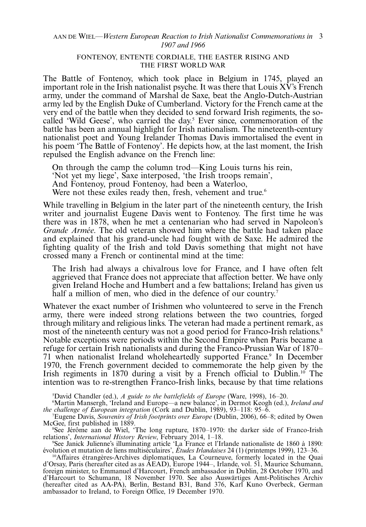#### AAN DE WIEL—Western European Reaction to Irish Nationalist Commemorations in 3 1907 and 1966

# FONTENOY, ENTENTE CORDIALE, THE EASTER RISING AND THE FIRST WORLD WAR

The Battle of Fontenoy, which took place in Belgium in 1745, played an important role in the Irish nationalist psyche. It was there that Louis XV's French army, under the command of Marshal de Saxe, beat the Anglo-Dutch-Austrian army led by the English Duke of Cumberland. Victory for the French came at the very end of the battle when they decided to send forward Irish regiments, the socalled 'Wild Geese', who carried the day.<sup>5</sup> Ever since, commemoration of the battle has been an annual highlight for Irish nationalism. The nineteenth-century nationalist poet and Young Irelander Thomas Davis immortalised the event in his poem 'The Battle of Fontenoy'. He depicts how, at the last moment, the Irish repulsed the English advance on the French line:

On through the camp the column trod—King Louis turns his rein,

'Not yet my liege', Saxe interposed, 'the Irish troops remain',

And Fontenoy, proud Fontenoy, had been a Waterloo,

Were not these exiles ready then, fresh, vehement and true.<sup>6</sup>

While travelling in Belgium in the later part of the nineteenth century, the Irish writer and journalist Eugene Davis went to Fontenoy. The first time he was there was in 1878, when he met a centenarian who had served in Napoleon's Grande Armée. The old veteran showed him where the battle had taken place and explained that his grand-uncle had fought with de Saxe. He admired the fighting quality of the Irish and told Davis something that might not have crossed many a French or continental mind at the time:

The Irish had always a chivalrous love for France, and I have often felt aggrieved that France does not appreciate that affection better. We have only given Ireland Hoche and Humbert and a few battalions; Ireland has given us half a million of men, who died in the defence of our country.<sup>7</sup>

Whatever the exact number of Irishmen who volunteered to serve in the French army, there were indeed strong relations between the two countries, forged through military and religious links. The veteran had made a pertinent remark, as most of the nineteenth century was not a good period for Franco-Irish relations.<sup>8</sup> Notable exceptions were periods within the Second Empire when Paris became a refuge for certain Irish nationalists and during the Franco-Prussian War of 1870- 71 when nationalist Ireland wholeheartedly supported France.<sup>9</sup> In December 1970, the French government decided to commemorate the help given by the Irish regiments in 1870 during a visit by a French official to Dublin.10 The intention was to re-strengthen Franco-Irish links, because by that time relations

Example Chandler (ed.), A guide to the battlefields of Europe (Ware, 1998), 16–20.<br>Martin Mansergh, Treland and Europe—a new balance' in Dermot Keogh (ed.).

<sup>6</sup>Martin Mansergh, 'Ireland and Europe—a new balance', in Dermot Keogh (ed.), Ireland and the challenge of European integration (Cork and Dublin, 1989), 93–118: 95–6.<br><sup>7</sup>Eugene Davis, *Souvenirs of Irish footprints over Europe* (Dublin, 2006), 66–

Eugene Davis, Souvenirs of Irish footprints over Europe (Dublin, 2006), 66-8; edited by Owen McGee, first published in 1889.

See Jérôme aan de Wiel, 'The long rupture, 1870–1970: the darker side of Franco-Irish relations', *International History Review*, February 2014, 1–18.<br><sup>9</sup>See Janick Julienne's illuminating article 'I a France et l'Ir

See Janick Julienne's illuminating article 'La France et l'Irlande nationaliste de 1860 à 1890: évolution et mutation de liens multiséculaires', Études Irlandaises 24 (1) (printemps 1999), 123–36.

<sup>10</sup>Affaires étrangères-Archives diplomatiques, La Courneuve, formerly located in the Quai d'Orsay, Paris (hereafter cited as as AEAD), Europe 1944-, Irlande, vol. 51, Maurice Schumann, foreign minister, to Emmanuel d'Harcourt, French ambassador in Dublin, 28 October 1970, and d'Harcourt to Schumann, 18 November 1970. See also Auswärtiges Amt-Politisches Archiv (hereafter cited as AA-PA), Berlin, Bestand B31, Band 376, Karl Kuno Overbeck, German ambassador to Ireland, to Foreign Office, 19 December 1970.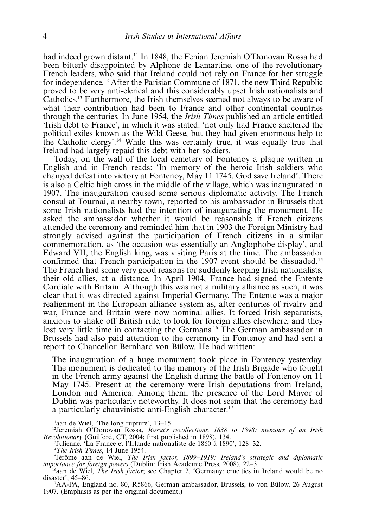had indeed grown distant.<sup>11</sup> In 1848, the Fenian Jeremiah O'Donovan Rossa had been bitterly disappointed by Alphone de Lamartine, one of the revolutionary French leaders, who said that Ireland could not rely on France for her struggle for independence.12 After the Parisian Commune of 1871, the new Third Republic proved to be very anti-clerical and this considerably upset Irish nationalists and Catholics.13 Furthermore, the Irish themselves seemed not always to be aware of what their contribution had been to France and other continental countries through the centuries. In June 1954, the Irish Times published an article entitled 'Irish debt to France', in which it was stated: 'not only had France sheltered the political exiles known as the Wild Geese, but they had given enormous help to the Catholic clergy'.14 While this was certainly true, it was equally true that Ireland had largely repaid this debt with her soldiers.

Today, on the wall of the local cemetery of Fontenoy a plaque written in English and in French reads: 'In memory of the heroic Irish soldiers who changed defeat into victory at Fontenoy, May 11 1745. God save Ireland'. There is also a Celtic high cross in the middle of the village, which was inaugurated in 1907. The inauguration caused some serious diplomatic activity. The French consul at Tournai, a nearby town, reported to his ambassador in Brussels that some Irish nationalists had the intention of inaugurating the monument. He asked the ambassador whether it would be reasonable if French citizens attended the ceremony and reminded him that in 1903 the Foreign Ministry had strongly advised against the participation of French citizens in a similar commemoration, as 'the occasion was essentially an Anglophobe display', and Edward VII, the English king, was visiting Paris at the time. The ambassador confirmed that French participation in the 1907 event should be dissuaded.<sup>15</sup> The French had some very good reasons for suddenly keeping Irish nationalists, their old allies, at a distance. In April 1904, France had signed the Entente Cordiale with Britain. Although this was not a military alliance as such, it was clear that it was directed against Imperial Germany. The Entente was a major realignment in the European alliance system as, after centuries of rivalry and war, France and Britain were now nominal allies. It forced Irish separatists, anxious to shake off British rule, to look for foreign allies elsewhere, and they lost very little time in contacting the Germans.<sup>16</sup> The German ambassador in Brussels had also paid attention to the ceremony in Fontenoy and had sent a report to Chancellor Bernhard von Bülow. He had written:

The inauguration of a huge monument took place in Fontenoy yesterday. The monument is dedicated to the memory of the Irish Brigade who fought in the French army against the English during the battle of Fontenoy on 11 May 1745. Present at the ceremony were Irish deputations from Ireland, London and America. Among them, the presence of the Lord Mayor of Dublin was particularly noteworthy. It does not seem that the ceremony had a particularly chauvinistic anti-English character.<sup>17</sup>

 $<sup>11</sup>$ aan de Wiel, 'The long rupture', 13–15.</sup>

<sup>12</sup>Jeremiah O'Donovan Rossa, *Rossa's recollections*, 1838 to 1898: memoirs of an Irish Revolutionary (Guilford, CT, 2004; first published in 1898), 134.

<sup>13</sup>Julienne, 'La France et l'Irlande nationaliste de 1860 à 1890', 128-32.<br><sup>14</sup>*The Irish Times*, 14 June 1954.

<sup>13</sup>Julienne, 'La France et l'Irlande nationaliste de 1860 à 1890', 128–32.<br><sup>14</sup>*The Irish Times*, 14 June 1954.<br><sup>15</sup>Jérôme aan de Wiel, *The Irish factor, 1899–1919: Ireland's strategic and diplomatic* importance for foreign powers (Dublin: Irish Academic Press, 2008), 22-3.

<sup>16</sup>aan de Wiel, *The Irish factor*; see Chapter 2, 'Germany: cruelties in Ireland would be no disaster', 45–86.<br><sup>17</sup>AA-PA, England no. 80, R5866, German ambassador, Brussels, to von Bülow, 26 August

1907. (Emphasis as per the original document.)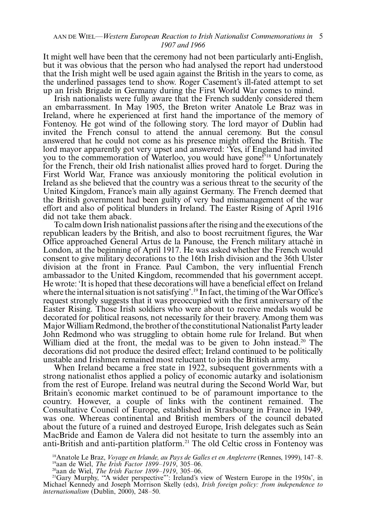#### AAN DE WIEL—Western European Reaction to Irish Nationalist Commemorations in 5 1907 and 1966

It might well have been that the ceremony had not been particularly anti-English, but it was obvious that the person who had analysed the report had understood that the Irish might well be used again against the British in the years to come, as the underlined passages tend to show. Roger Casement's ill-fated attempt to set up an Irish Brigade in Germany during the First World War comes to mind.

Irish nationalists were fully aware that the French suddenly considered them an embarrassment. In May 1905, the Breton writer Anatole Le Braz was in Ireland, where he experienced at first hand the importance of the memory of Fontenoy. He got wind of the following story. The lord mayor of Dublin had invited the French consul to attend the annual ceremony. But the consul answered that he could not come as his presence might offend the British. The lord mayor apparently got very upset and answered: 'Yes, if England had invited you to the commemoration of Waterloo, you would have gone!'18 Unfortunately for the French, their old Irish nationalist allies proved hard to forget. During the First World War, France was anxiously monitoring the political evolution in Ireland as she believed that the country was a serious threat to the security of the United Kingdom, France's main ally against Germany. The French deemed that the British government had been guilty of very bad mismanagement of the war effort and also of political blunders in Ireland. The Easter Rising of April 1916 did not take them aback.

To calm down Irish nationalist passions after the rising and the executions of the republican leaders by the British, and also to boost recruitment figures, the War Office approached General Artus de la Panouse, the French military attache´ in London, at the beginning of April 1917. He was asked whether the French would consent to give military decorations to the 16th Irish division and the 36th Ulster division at the front in France. Paul Cambon, the very influential French ambassador to the United Kingdom, recommended that his government accept. He wrote: 'It is hoped that these decorations will have a beneficial effect on Ireland where the internal situation is not satisfying'.<sup>19</sup> In fact, the timing of the War Office's request strongly suggests that it was preoccupied with the first anniversary of the Easter Rising. Those Irish soldiers who were about to receive medals would be decorated for political reasons, not necessarily for their bravery. Among them was Major William Redmond, the brotherof the constitutional Nationalist Party leader John Redmond who was struggling to obtain home rule for Ireland. But when William died at the front, the medal was to be given to John instead.<sup>20</sup> The decorations did not produce the desired effect; Ireland continued to be politically unstable and Irishmen remained most reluctant to join the British army.

When Ireland became a free state in 1922, subsequent governments with a strong nationalist ethos applied a policy of economic autarky and isolationism from the rest of Europe. Ireland was neutral during the Second World War, but Britain's economic market continued to be of paramount importance to the country. However, a couple of links with the continent remained. The Consultative Council of Europe, established in Strasbourg in France in 1949, was one. Whereas continental and British members of the council debated about the future of a ruined and destroyed Europe, Irish delegates such as Seán MacBride and Eamon de Valera did not hesitate to turn the assembly into an anti-British and anti-partition platform.21 The old Celtic cross in Fontenoy was

<sup>&</sup>lt;sup>18</sup> Anatole Le Braz, Voyage en Irlande, au Pays de Galles et en Angleterre (Rennes, 1999), 147-8. <sup>18</sup>Anatole Le Braz, *Voyage en Irlande, au Pays de Galles et en Angleterre* (Rennes, 1999), 147–8.<br><sup>19</sup>aan de Wiel, *The Irish Factor 1899–1919*, 305–06.<br><sup>20</sup>Gary Murphy, "A wider perspective"': Ireland's view of Western

Michael Kennedy and Joseph Morrison Skelly (eds), Irish foreign policy: from independence to internationalism (Dublin, 2000), 248-50.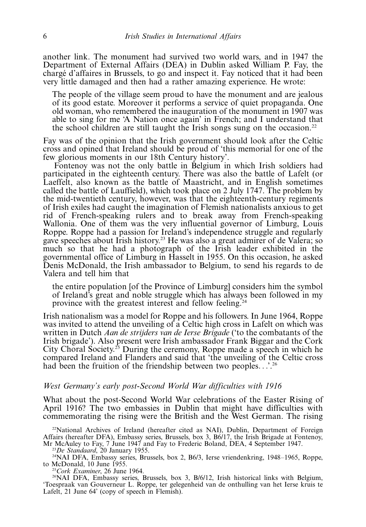another link. The monument had survived two world wars, and in 1947 the Department of External Affairs (DEA) in Dublin asked William P. Fay, the chargé d'affaires in Brussels, to go and inspect it. Fay noticed that it had been very little damaged and then had a rather amazing experience. He wrote:

The people of the village seem proud to have the monument and are jealous of its good estate. Moreover it performs a service of quiet propaganda. One old woman, who remembered the inauguration of the monument in 1907 was able to sing for me 'A Nation once again' in French; and I understand that the school children are still taught the Irish songs sung on the occasion.<sup>22</sup>

Fay was of the opinion that the Irish government should look after the Celtic cross and opined that Ireland should be proud of 'this memorial for one of the few glorious moments in our 18th Century history'.

Fontenoy was not the only battle in Belgium in which Irish soldiers had participated in the eighteenth century. There was also the battle of Lafelt (or Laeffelt, also known as the battle of Maastricht, and in English sometimes called the battle of Lauffield), which took place on 2 July 1747. The problem by the mid-twentieth century, however, was that the eighteenth-century regiments of Irish exiles had caught the imagination of Flemish nationalists anxious to get rid of French-speaking rulers and to break away from French-speaking Wallonia. One of them was the very influential governor of Limburg, Louis Roppe. Roppe had a passion for Ireland's independence struggle and regularly gave speeches about Irish history.<sup>23</sup> He was also a great admirer of de Valera; so much so that he had a photograph of the Irish leader exhibited in the governmental office of Limburg in Hasselt in 1955. On this occasion, he asked Denis McDonald, the Irish ambassador to Belgium, to send his regards to de Valera and tell him that

the entire population [of the Province of Limburg] considers him the symbol of Ireland's great and noble struggle which has always been followed in my province with the greatest interest and fellow feeling.24

Irish nationalism was a model for Roppe and his followers. In June 1964, Roppe was invited to attend the unveiling of a Celtic high cross in Lafelt on which was written in Dutch Aan de strijders van de Ierse Brigade ('to the combatants of the Irish brigade'). Also present were Irish ambassador Frank Biggar and the Cork City Choral Society.<sup>25</sup> During the ceremony, Roppe made a speech in which he compared Ireland and Flanders and said that 'the unveiling of the Celtic cross had been the fruition of the friendship between two peoples...'<sup>26</sup>

# West Germany's early post-Second World War difficulties with 1916

What about the post-Second World War celebrations of the Easter Rising of April 1916? The two embassies in Dublin that might have difficulties with commemorating the rising were the British and the West German. The rising

 $22$ National Archives of Ireland (hereafter cited as NAI), Dublin, Department of Foreign Affairs (hereafter DFA), Embassy series, Brussels, box 3, B6/17, the Irish Brigade at Fontenoy, Mr McAuley to Fay, 7 June 1947 and Fay to Frederic Boland, DEA, 4 September 1947. Mr McAuley to Fay, 7 June 1947 and Fay to Frederic Boland, DEA, 4 September 1947.<br><sup>23</sup>De Standaard, 20 January 1955.<br><sup>24</sup>NAI DFA, Embassy series, Brussels, box 2, B6/3, Ierse vriendenkring, 1948–1965, Roppe,

to McDonald, 10 June 1955.<br><sup>25</sup>Cork Examiner, 26 June 1964.<br><sup>26</sup>NAI DFA, Embassy series, Brussels, box 3, B/6/12, Irish historical links with Belgium,

'Toespraak van Gouverneur L. Roppe, ter gelegenheid van de onthulling van het Ierse kruis te Lafelt, 21 June 64' (copy of speech in Flemish).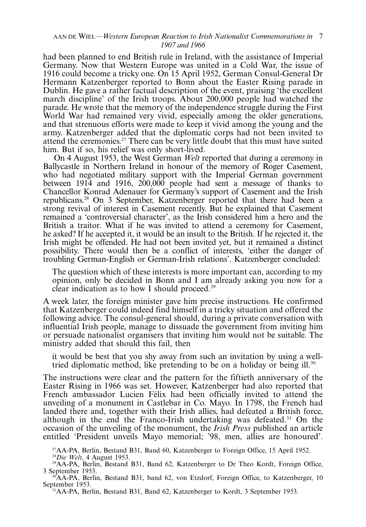# AAN DE WIEL—Western European Reaction to Irish Nationalist Commemorations in 7 1907 and 1966

had been planned to end British rule in Ireland, with the assistance of Imperial Germany. Now that Western Europe was united in a Cold War, the issue of 1916 could become a tricky one. On 15 April 1952, German Consul-General Dr Hermann Katzenberger reported to Bonn about the Easter Rising parade in Dublin. He gave a rather factual description of the event, praising 'the excellent march discipline' of the Irish troops. About 200,000 people had watched the parade. He wrote that the memory of the independence struggle during the First World War had remained very vivid, especially among the older generations, and that strenuous efforts were made to keep it vivid among the young and the army. Katzenberger added that the diplomatic corps had not been invited to attend the ceremonies.27 There can be very little doubt that this must have suited him. But if so, his relief was only short-lived.

On 4 August 1953, the West German Welt reported that during a ceremony in Ballycastle in Northern Ireland in honour of the memory of Roger Casement, who had negotiated military support with the Imperial German government between 1914 and 1916, 200,000 people had sent a message of thanks to Chancellor Konrad Adenauer for Germany's support of Casement and the Irish republicans.28 On 3 September, Katzenberger reported that there had been a strong revival of interest in Casement recently. But he explained that Casement remained a 'controversial character', as the Irish considered him a hero and the British a traitor. What if he was invited to attend a ceremony for Casement, he asked? If he accepted it, it would be an insult to the British. If he rejected it, the Irish might be offended. He had not been invited yet, but it remained a distinct possibility. There would then be a conflict of interests, 'either the danger of troubling German-English or German-Irish relations'. Katzenberger concluded:

The question which of these interests is more important can, according to my opinion, only be decided in Bonn and I am already asking you now for a clear indication as to how I should proceed.<sup>29</sup>

A week later, the foreign minister gave him precise instructions. He confirmed that Katzenberger could indeed find himself in a tricky situation and offered the following advice. The consul-general should, during a private conversation with influential Irish people, manage to dissuade the government from inviting him or persuade nationalist organisers that inviting him would not be suitable. The ministry added that should this fail, then

it would be best that you shy away from such an invitation by using a welltried diplomatic method, like pretending to be on a holiday or being ill.<sup>30</sup>

The instructions were clear and the pattern for the fiftieth anniversary of the Easter Rising in 1966 was set. However, Katzenberger had also reported that French ambassador Lucien Félix had been officially invited to attend the unveiling of a monument in Castlebar in Co. Mayo. In 1798, the French had landed there and, together with their Irish allies, had defeated a British force, although in the end the Franco-Irish undertaking was defeated.<sup>31</sup> On the occasion of the unveiling of the monument, the *Irish Press* published an article entitled 'President unveils Mayo memorial; '98, men, allies are honoured'.

<sup>27</sup>AA-PA, Berlin, Bestand B31, Band 60, Katzenberger to Foreign Office, 15 April 1952.<br><sup>28</sup>Die Welt, 4 August 1953.

<sup>29</sup>AA-PA, Berlin, Bestand B31, Band 62, Katzenberger to Dr Theo Kordt, Foreign Office, 3 September 1953. 3 September 1953.<br><sup>30</sup>AA-PA, Berlin, Bestand B31, band 62, von Etzdorf, Foreign Office, to Katzenberger, 10

September 1953. 31AA-PA, Berlin, Bestand B31, Band 62, Katzenberger to Kordt, 3 September 1953.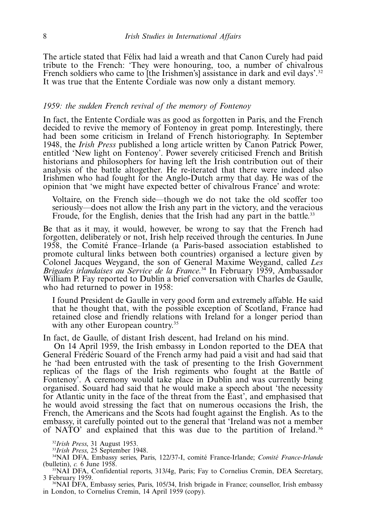The article stated that Félix had laid a wreath and that Canon Curely had paid tribute to the French: 'They were honouring, too, a number of chivalrous French soldiers who came to [the Irishmen's] assistance in dark and evil days'.<sup>32</sup> It was true that the Entente Cordiale was now only a distant memory.

# 1959: the sudden French revival of the memory of Fontenoy

In fact, the Entente Cordiale was as good as forgotten in Paris, and the French decided to revive the memory of Fontenoy in great pomp. Interestingly, there had been some criticism in Ireland of French historiography. In September 1948, the Irish Press published a long article written by Canon Patrick Power, entitled 'New light on Fontenoy'. Power severely criticised French and British historians and philosophers for having left the Irish contribution out of their analysis of the battle altogether. He re-iterated that there were indeed also Irishmen who had fought for the Anglo-Dutch army that day. He was of the opinion that 'we might have expected better of chivalrous France' and wrote:

Voltaire, on the French side—though we do not take the old scoffer too seriously—does not allow the Irish any part in the victory, and the veracious Froude, for the English, denies that the Irish had any part in the battle.<sup>33</sup>

Be that as it may, it would, however, be wrong to say that the French had forgotten, deliberately or not, Irish help received through the centuries. In June 1958, the Comite´ France-Irlande (a Paris-based association established to promote cultural links between both countries) organised a lecture given by Colonel Jacques Weygand, the son of General Maxime Weygand, called Les Brigades irlandaises au Service de la France.<sup>34</sup> In February 1959, Ambassador William P. Fay reported to Dublin a brief conversation with Charles de Gaulle, who had returned to power in 1958:

I found President de Gaulle in very good form and extremely affable. He said that he thought that, with the possible exception of Scotland, France had retained close and friendly relations with Ireland for a longer period than with any other European country.<sup>35</sup>

In fact, de Gaulle, of distant Irish descent, had Ireland on his mind.

On 14 April 1959, the Irish embassy in London reported to the DEA that General Frédéric Souard of the French army had paid a visit and had said that he 'had been entrusted with the task of presenting to the Irish Government replicas of the flags of the Irish regiments who fought at the Battle of Fontenoy'. A ceremony would take place in Dublin and was currently being organised. Souard had said that he would make a speech about 'the necessity for Atlantic unity in the face of the threat from the East', and emphasised that he would avoid stressing the fact that on numerous occasions the Irish, the French, the Americans and the Scots had fought against the English. As to the embassy, it carefully pointed out to the general that 'Ireland was not a member of NATO' and explained that this was due to the partition of Ireland.<sup>36</sup>

<sup>32</sup>*Irish Press*, 31 August 1953.<br><sup>33</sup>*Irish Press*, 25 September 1948.<br><sup>34</sup>NAI DFA, Embassy series, Paris, 122/37-I, comité France-Irlande; *Comité France-Irlande*<br>(bulletin), *c*. 6 June 1958.

 $\frac{35}{12}$ NAI DFA, Confidential reports, 313/4g, Paris; Fay to Cornelius Cremin, DEA Secretary, 3 February 1959.

<sup>36</sup>NAI DFA, Embassy series, Paris, 105/34, Irish brigade in France; counsellor, Irish embassy in London, to Cornelius Cremin, 14 April 1959 (copy).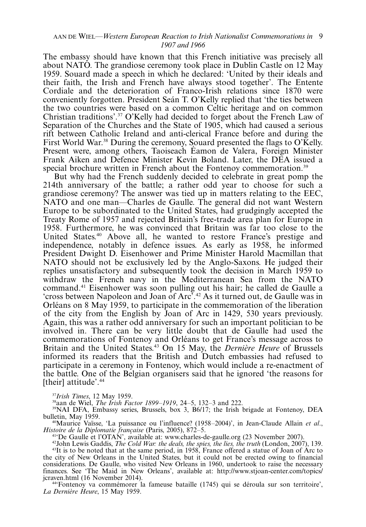#### AAN DE WIEL—Western European Reaction to Irish Nationalist Commemorations in 9 1907 and 1966

The embassy should have known that this French initiative was precisely all about NATO. The grandiose ceremony took place in Dublin Castle on 12 May 1959. Souard made a speech in which he declared: 'United by their ideals and their faith, the Irish and French have always stood together'. The Entente Cordiale and the deterioration of Franco-Irish relations since 1870 were conveniently forgotten. President Seán T. O'Kelly replied that 'the ties between the two countries were based on a common Celtic heritage and on common Christian traditions'.37 O'Kelly had decided to forget about the French Law of Separation of the Churches and the State of 1905, which had caused a serious rift between Catholic Ireland and anti-clerical France before and during the First World War.<sup>38</sup> During the ceremony, Souard presented the flags to O'Kelly. Present were, among others, Taoiseach Éamon de Valera, Foreign Minister Frank Aiken and Defence Minister Kevin Boland. Later, the DEA issued a special brochure written in French about the Fontenoy commemoration.<sup>39</sup>

But why had the French suddenly decided to celebrate in great pomp the 214th anniversary of the battle; a rather odd year to choose for such a grandiose ceremony? The answer was tied up in matters relating to the EEC, NATO and one man—Charles de Gaulle. The general did not want Western Europe to be subordinated to the United States, had grudgingly accepted the Treaty Rome of 1957 and rejected Britain's free-trade area plan for Europe in 1958. Furthermore, he was convinced that Britain was far too close to the United States.<sup>40</sup> Above all, he wanted to restore France's prestige and independence, notably in defence issues. As early as 1958, he informed President Dwight D. Eisenhower and Prime Minister Harold Macmillan that NATO should not be exclusively led by the Anglo-Saxons. He judged their replies unsatisfactory and subsequently took the decision in March 1959 to withdraw the French navy in the Mediterranean Sea from the NATO command.41 Eisenhower was soon pulling out his hair; he called de Gaulle a 'cross between Napoleon and Joan of Arc'.42 As it turned out, de Gaulle was in Orléans on 8 May 1959, to participate in the commemoration of the liberation of the city from the English by Joan of Arc in 1429, 530 years previously. Again, this was a rather odd anniversary for such an important politician to be involved in. There can be very little doubt that de Gaulle had used the commemorations of Fontenoy and Orléans to get France's message across to Britain and the United States.<sup>43</sup> On 15 May, the *Dernière Heure* of Brussels informed its readers that the British and Dutch embassies had refused to participate in a ceremony in Fontenoy, which would include a re-enactment of the battle. One of the Belgian organisers said that he ignored 'the reasons for [their] attitude'.<sup>44</sup>

<sup>37</sup>Irish Times, 12 May 1959.<br><sup>38</sup>aan de Wiel, *The Irish Factor 1899–1919*, 24–5, 132–

<sup>39</sup>NAI DFA, Embassy series, Brussels, box 3,  $\dot{B}6/17$ ; the Irish brigade at Fontenoy, DEA bulletin. May 1959.

bulletin, May 1959.<br><sup>40</sup>Maurice Vaïsse, 'La puissance ou l'influence? (1958–2004)', in Jean-Claude Allain *et al*., Histoire de la Diplomatie française (Paris, 2005), 872-5.

<sup>41</sup> De Gaulle et l'OTAN', available at: [www.charles-de-gaulle.org](http://www.charles-de-gaulle.org)  $(23$  November 2007).

<sup>42</sup>John Lewis Gaddis, *The Cold War: the deals, the spies, the lies, the truth* (London, 2007), 139.  $43$ It is to be noted that at the same period, in 1958, France offered a statue of Joan of Arc to the city of New Orleans in the United States, but it could not be erected owing to financial considerations. De Gaulle, who visited New Orleans in 1960, undertook to raise the necessary finances. See 'The Maid in New Orleans', available at: [http://www.stjoan-center.com/topics/](http://www.stjoan-center.com/topics/jcraven.html)

<sup>44</sup>'Fontenoy va commémorer la fameuse bataille (1745) qui se déroula sur son territoire', La Dernière Heure, 15 May 1959.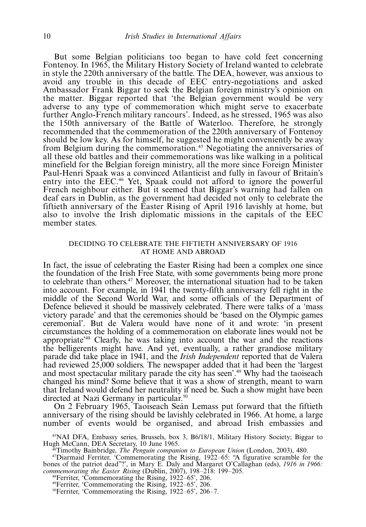But some Belgian politicians too began to have cold feet concerning Fontenoy. In 1965, the Military History Society of Ireland wanted to celebrate in style the 220th anniversary of the battle. The DEA, however, was anxious to avoid any trouble in this decade of EEC entry-negotiations and asked Ambassador Frank Biggar to seek the Belgian foreign ministry's opinion on the matter. Biggar reported that 'the Belgian government would be very adverse to any type of commemoration which might serve to exacerbate further Anglo-French military rancours'. Indeed, as he stressed, 1965 was also the 150th anniversary of the Battle of Waterloo. Therefore, he strongly recommended that the commemoration of the 220th anniversary of Fontenoy should be low key. As for himself, he suggested he might conveniently be away from Belgium during the commemoration.45 Negotiating the anniversaries of all these old battles and their commemorations was like walking in a political minefield for the Belgian foreign ministry, all the more since Foreign Minister Paul-Henri Spaak was a convinced Atlanticist and fully in favour of Britain's entry into the EEC.<sup>46</sup> Yet, Spaak could not afford to ignore the powerful French neighbour either. But it seemed that Biggar's warning had fallen on deaf ears in Dublin, as the government had decided not only to celebrate the fiftieth anniversary of the Easter Rising of April 1916 lavishly at home, but also to involve the Irish diplomatic missions in the capitals of the EEC member states.

# DECIDING TO CELEBRATE THE FIFTIETH ANNIVERSARY OF 1916 AT HOME AND ABROAD

In fact, the issue of celebrating the Easter Rising had been a complex one since the foundation of the Irish Free State, with some governments being more prone to celebrate than others. $47$  Moreover, the international situation had to be taken into account. For example, in 1941 the twenty-fifth anniversary fell right in the middle of the Second World War, and some officials of the Department of Defence believed it should be massively celebrated. There were talks of a 'mass victory parade' and that the ceremonies should be 'based on the Olympic games ceremonial'. But de Valera would have none of it and wrote: 'in present circumstances the holding of a commemoration on elaborate lines would not be appropriate'48 Clearly, he was taking into account the war and the reactions the belligerents might have. And yet, eventually, a rather grandiose military parade did take place in 1941, and the Irish Independent reported that de Valera had reviewed 25,000 soldiers. The newspaper added that it had been the 'largest and most spectacular military parade the city has seen'.<sup>49</sup> Why had the taoiseach changed his mind? Some believe that it was a show of strength, meant to warn that Ireland would defend her neutrality if need be. Such a show might have been directed at Nazi Germany in particular.<sup>50</sup>

On 2 February 1965, Taoiseach Seán Lemass put forward that the fiftieth anniversary of the rising should be lavishly celebrated in 1966. At home, a large number of events would be organised, and abroad Irish embassies and

<sup>45</sup>NAI DFA, Embassy series, Brussels, box 3, B6/18/1, Military History Society; Biggar to Hugh McCann, DEA Secretary, 10 June 1965. Hugh McCann, DEA Secretary, 10 June 1965.<br><sup>46</sup>Timothy Bainbridge, *The Penguin companion to European Union* (London, 2003), 480.<br><sup>47</sup>Diarmaid Ferriter, 'Commemorating the Rising, 1922–65: "A figurative scramble for the

bones of the patriot dead"?', in Mary E. Daly and Margaret O'Callaghan (eds), 1916 in 1966: commemorating the Easter Rising (Dublin, 2007), 198-218: 199nmemorating the Easter Rising (Dublin, 2007), 198–218: 199–205.<br><sup>48</sup>Ferriter, 'Commemorating the Rising, 1922–65', 206.

<sup>48</sup> Ferriter, 'Commemorating the Rising,  $1922-65$ ',  $206$ .<br><sup>49</sup> Ferriter, 'Commemorating the Rising,  $1922-65$ ',  $206$ .

<sup>49</sup>Ferriter, 'Commemorating the Rising, 1922–65', 206.<br><sup>50</sup>Ferriter, 'Commemorating the Rising, 1922–65', 206–7.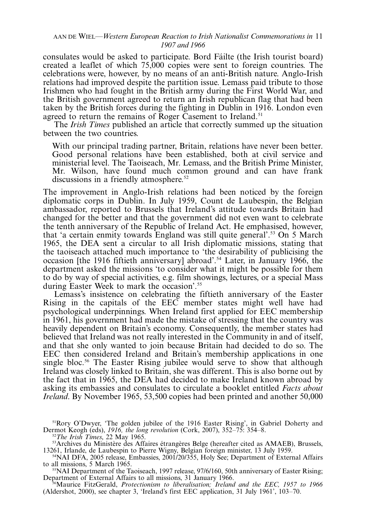#### AAN DE WIEL—Western European Reaction to Irish Nationalist Commemorations in 11 1907 and 1966

consulates would be asked to participate. Bord Fa´ilte (the Irish tourist board) created a leaflet of which 75,000 copies were sent to foreign countries. The celebrations were, however, by no means of an anti-British nature. Anglo-Irish relations had improved despite the partition issue. Lemass paid tribute to those Irishmen who had fought in the British army during the First World War, and the British government agreed to return an Irish republican flag that had been taken by the British forces during the fighting in Dublin in 1916. London even agreed to return the remains of Roger Casement to Ireland.<sup>51</sup>

The *Irish Times* published an article that correctly summed up the situation between the two countries.

With our principal trading partner, Britain, relations have never been better. Good personal relations have been established, both at civil service and ministerial level. The Taoiseach, Mr. Lemass, and the British Prime Minister, Mr. Wilson, have found much common ground and can have frank discussions in a friendly atmosphere.<sup>52</sup>

The improvement in Anglo-Irish relations had been noticed by the foreign diplomatic corps in Dublin. In July 1959, Count de Laubespin, the Belgian ambassador, reported to Brussels that Ireland's attitude towards Britain had changed for the better and that the government did not even want to celebrate the tenth anniversary of the Republic of Ireland Act. He emphasised, however, that 'a certain enmity towards England was still quite general'.53 On 5 March 1965, the DEA sent a circular to all Irish diplomatic missions, stating that the taoiseach attached much importance to 'the desirability of publicising the occasion [the 1916 fiftieth anniversary] abroad'.54 Later, in January 1966, the department asked the missions 'to consider what it might be possible for them to do by way of special activities, e.g. film showings, lectures, or a special Mass during Easter Week to mark the occasion'.55

Lemass's insistence on celebrating the fiftieth anniversary of the Easter Rising in the capitals of the EEC member states might well have had psychological underpinnings. When Ireland first applied for EEC membership in 1961, his government had made the mistake of stressing that the country was heavily dependent on Britain's economy. Consequently, the member states had believed that Ireland was not really interested in the Community in and of itself, and that she only wanted to join because Britain had decided to do so. The EEC then considered Ireland and Britain's membership applications in one single bloc.<sup>56</sup> The Easter Rising jubilee would serve to show that although Ireland was closely linked to Britain, she was different. This is also borne out by the fact that in 1965, the DEA had decided to make Ireland known abroad by asking its embassies and consulates to circulate a booklet entitled Facts about Ireland. By November 1965, 53,500 copies had been printed and another 50,000

<sup>51</sup>Rory O'Dwyer, 'The golden jubilee of the 1916 Easter Rising', in Gabriel Doherty and Dermot Keogh (eds), 1916, the long revolution (Cork, 2007), 352-75: 354-

<sup>&</sup>lt;sup>52</sup>The Irish Times, 22 May 1965.<br><sup>53</sup>Archives du Ministère des Affaires étrangères Belge (hereafter cited as AMAEB), Brussels, 13261, Irlande, de Laubespin to Pierre Wigny, Belgian foreign minister, 13 July 1959.

<sup>&</sup>lt;sup>54</sup>NAI DFA, 2005 release, Embassies, 2001/20/355, Holy See; Department of External Affairs to all missions, 5 March 1965.

 $t^5$ NAI Department of the Taoiseach, 1997 release, 97/6/160, 50th anniversary of Easter Rising; Department of External Affairs to all missions, 31 January 1966.<br><sup>56</sup>Maurice FitzGerald, *Protectionism to liberalisation; Ireland and the EEC, 1957 to 1966* 

<sup>(</sup>Aldershot, 2000), see chapter 3, 'Ireland's first EEC application, 31 July 1961', 103-70.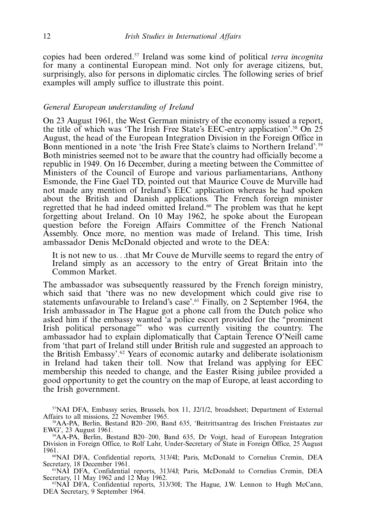copies had been ordered.57 Ireland was some kind of political terra incognita for many a continental European mind. Not only for average citizens, but, surprisingly, also for persons in diplomatic circles. The following series of brief examples will amply suffice to illustrate this point.

# General European understanding of Ireland

On 23 August 1961, the West German ministry of the economy issued a report, the title of which was 'The Irish Free State's EEC-entry application'.58 On 25 August, the head of the European Integration Division in the Foreign Office in Bonn mentioned in a note 'the Irish Free State's claims to Northern Ireland'.59 Both ministries seemed not to be aware that the country had officially become a republic in 1949. On 16 December, during a meeting between the Committee of Ministers of the Council of Europe and various parliamentarians, Anthony Esmonde, the Fine Gael TD, pointed out that Maurice Couve de Murville had not made any mention of Ireland's EEC application whereas he had spoken about the British and Danish applications. The French foreign minister regretted that he had indeed omitted Ireland.60 The problem was that he kept forgetting about Ireland. On 10 May 1962, he spoke about the European question before the Foreign Affairs Committee of the French National Assembly. Once more, no mention was made of Ireland. This time, Irish ambassador Denis McDonald objected and wrote to the DEA:

It is not new to us...that Mr Couve de Murville seems to regard the entry of Ireland simply as an accessory to the entry of Great Britain into the Common Market.

The ambassador was subsequently reassured by the French foreign ministry, which said that 'there was no new development which could give rise to statements unfavourable to Ireland's case'.61 Finally, on 2 September 1964, the Irish ambassador in The Hague got a phone call from the Dutch police who asked him if the embassy wanted 'a police escort provided for the ''prominent Irish political personage''' who was currently visiting the country. The ambassador had to explain diplomatically that Captain Terence O'Neill came from 'that part of Ireland still under British rule and suggested an approach to the British Embassy'.62 Years of economic autarky and deliberate isolationism in Ireland had taken their toll. Now that Ireland was applying for EEC membership this needed to change, and the Easter Rising jubilee provided a good opportunity to get the country on the map of Europe, at least according to the Irish government.

 $57$ NAI DFA, Embassy series, Brussels, box 11, J2/1/2, broadsheet; Department of External Affairs to all missions, 22 November 1965. Affairs to all missions, 22 November 1965.<br><sup>58</sup>AA-PA, Berlin, Bestand B20–200, Band 635, 'Beitrittsantrag des Irischen Freistaates zur

EWG', 23 August 1961.<br><sup>59</sup>AA-PA, Berlin, Bestand B20–200, Band 635, Dr Voigt, head of European Integration

Division in Foreign Office, to Rolf Lahr, Under-Secretary of State in Foreign Office, 25 August

<sup>60</sup>NAI DFA, Confidential reports, 313/4I; Paris, McDonald to Cornelius Cremin, DEA Secretary, 18 December 1961.

<sup>61</sup>NAI DFA, Confidential reports, 313/4J; Paris, McDonald to Cornelius Cremin, DEA Secretary, 11 May 1962 and 12 May 1962.<br><sup>62</sup>NAI DFA, Confidential reports, 313/30I; The Hague, J.W. Lennon to Hugh McCann,

DEA Secretary, 9 September 1964.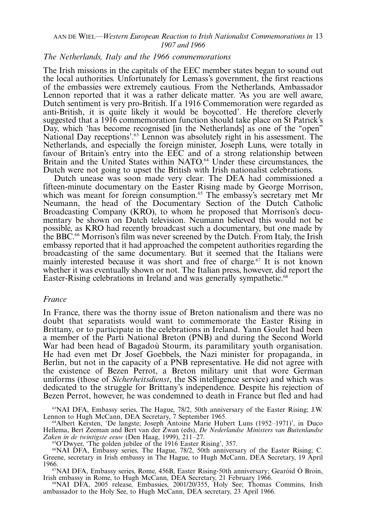#### AAN DE WIEL—Western European Reaction to Irish Nationalist Commemorations in 13 1907 and 1966

#### The Netherlands, Italy and the 1966 commemorations

The Irish missions in the capitals of the EEC member states began to sound out the local authorities. Unfortunately for Lemass's government, the first reactions of the embassies were extremely cautious. From the Netherlands, Ambassador Lennon reported that it was a rather delicate matter. 'As you are well aware, Dutch sentiment is very pro-British. If a 1916 Commemoration were regarded as anti-British, it is quite likely it would be boycotted'. He therefore cleverly suggested that a 1916 commemoration function should take place on St Patrick's Day, which 'has become recognised [in the Netherlands] as one of the "open" National Day receptions'.<sup>63</sup> Lennon was absolutely right in his assessment. The Netherlands, and especially the foreign minister, Joseph Luns, were totally in favour of Britain's entry into the EEC and of a strong relationship between Britain and the United States within NATO.<sup>64</sup> Under these circumstances, the Dutch were not going to upset the British with Irish nationalist celebrations.

Dutch unease was soon made very clear. The DEA had commissioned a fifteen-minute documentary on the Easter Rising made by George Morrison, which was meant for foreign consumption.<sup>65</sup> The embassy's secretary met Mr Neumann, the head of the Documentary Section of the Dutch Catholic Broadcasting Company (KRO), to whom he proposed that Morrison's documentary be shown on Dutch television. Neumann believed this would not be possible, as KRO had recently broadcast such a documentary, but one made by the BBC.66 Morrison's film was never screened by the Dutch. From Italy, the Irish embassy reported that it had approached the competent authorities regarding the broadcasting of the same documentary. But it seemed that the Italians were mainly interested because it was short and free of charge.<sup>67</sup> It is not known whether it was eventually shown or not. The Italian press, however, did report the Easter-Rising celebrations in Ireland and was generally sympathetic.<sup>68</sup>

#### France

In France, there was the thorny issue of Breton nationalism and there was no doubt that separatists would want to commemorate the Easter Rising in Brittany, or to participate in the celebrations in Ireland. Yann Goulet had been a member of the Parti National Breton (PNB) and during the Second World War had been head of Bagadou` Stourm, its paramilitary youth organisation. He had even met Dr Josef Goebbels, the Nazi minister for propaganda, in Berlin, but not in the capacity of a PNB representative. He did not agree with the existence of Bezen Perrot, a Breton military unit that wore German uniforms (those of Sicherheitsdienst, the SS intelligence service) and which was dedicated to the struggle for Brittany's independence. Despite his rejection of Bezen Perrot, however, he was condemned to death in France but fled and had

<sup>63</sup>NAI DFA, Embassy series, The Hague, 78/2, 50th anniversary of the Easter Rising; J.W. Lennon to Hugh McCann, DEA Secretary, 7 September 1965.

Lennon to Hugh McCann, DEA Secretary, 7 September 1965.<br><sup>64</sup>Albert Kersten, 'De langste; Joseph Antoine Marie Hubert Luns (1952–1971)', in Duco Hellema, Bert Zeeman and Bert van der Zwan (eds), De Nederlandse Ministers van Buitenlandse Zaken in de twintigste eeuw (Den Haag, 1999), 211–27.<br><sup>65</sup>O'Dwyer, 'The golden jubilee of the 1916 Easter Rising', 357.

66NAI DFA, Embassy series, The Hague, 78/2, 50th anniversary of the Easter Rising; C. Greene, secretary in Irish embassy in The Hague, to Hugh McCann, DEA Secretary, 19 April

<sup>67</sup>NAI DFA, Embassy series, Rome, 456B, Easter Rising-50th anniversary; Gearóid Ó Broin,

Irish embassy in Rome, to Hugh McCann, DEA Secretary, 21 February 1966.<br><sup>68</sup>NAI DFA, 2005 release, Embassies, 2001/20/355, Holy See; Thomas Commins, Irish ambassador to the Holy See, to Hugh McCann, DEA secretary, 23 April 1966.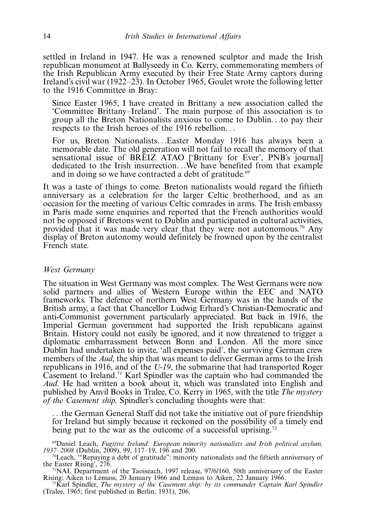settled in Ireland in 1947. He was a renowned sculptor and made the Irish republican monument at Ballyseedy in Co. Kerry, commemorating members of the Irish Republican Army executed by their Free State Army captors during Ireland's civil war (1922-23). In October 1965, Goulet wrote the following letter to the 1916 Committee in Bray:

Since Easter 1965, I have created in Brittany a new association called the 'Committee Brittany-Ireland'. The main purpose of this association is to group all the Breton Nationalists anxious to come to Dublin...to pay their respects to the Irish heroes of the 1916 rebellion...

For us, Breton Nationalists...Easter Monday 1916 has always been a memorable date. The old generation will not fail to recall the memory of that sensational issue of BREIZ ATAO ['Brittany for Ever', PNB's journal] dedicated to the Irish insurrection...We have benefited from that example and in doing so we have contracted a debt of gratitude.<sup>69</sup>

It was a taste of things to come. Breton nationalists would regard the fiftieth anniversary as a celebration for the larger Celtic brotherhood, and as an occasion for the meeting of various Celtic comrades in arms. The Irish embassy in Paris made some enquiries and reported that the French authorities would not be opposed if Bretons went to Dublin and participated in cultural activities, provided that it was made very clear that they were not autonomous.<sup>70</sup> Any display of Breton autonomy would definitely be frowned upon by the centralist French state.

#### West Germany

The situation in West Germany was most complex. The West Germans were now solid partners and allies of Western Europe within the EEC and NATO frameworks. The defence of northern West Germany was in the hands of the British army, a fact that Chancellor Ludwig Erhard's Christian-Democratic and anti-Communist government particularly appreciated. But back in 1916, the Imperial German government had supported the Irish republicans against Britain. History could not easily be ignored, and it now threatened to trigger a diplomatic embarrassment between Bonn and London. All the more since Dublin had undertaken to invite, 'all expenses paid', the surviving German crew members of the *Aud*, the ship that was meant to deliver German arms to the Irish republicans in 1916, and of the U-19, the submarine that had transported Roger Casement to Ireland.71 Karl Spindler was the captain who had commanded the Aud. He had written a book about it, which was translated into English and published by Anvil Books in Tralee, Co. Kerry in 1965, with the title The mystery of the Casement ship. Spindler's concluding thoughts were that:

...the German General Staff did not take the initiative out of pure friendship for Ireland but simply because it reckoned on the possibility of a timely end being put to the war as the outcome of a successful uprising.<sup>72</sup>

69Daniel Leach, Fugitive Ireland: European minority nationalists and Irish political asylum, 1937-2008 (Dublin, 2009), 99, 117-

<sup>70</sup>Leach, "Repaying a debt of gratitude": minority nationalists and the fiftieth anniversary of the Easter Rising', 276.

<sup>1</sup>NAI, Department of the Taoiseach, 1997 release, 97/6/160, 50th anniversary of the Easter Rising; Aiken to Lemass, 20 January 1966 and Lemass to Aiken, 22 January 1966.<br><sup>72</sup>Karl Spindler, *The mystery of the Casement ship: by its commander Captain Karl Spindler* 

(Tralee, 1965; first published in Berlin, 1931), 206.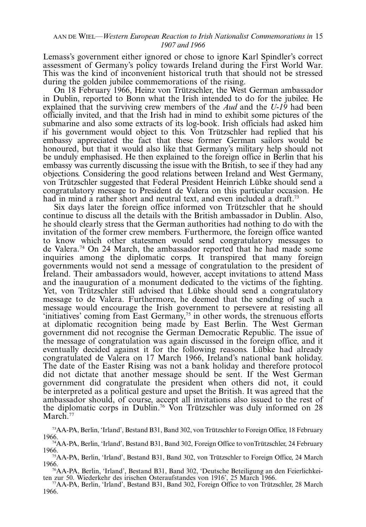# AAN DE WIEL—Western European Reaction to Irish Nationalist Commemorations in 15 1907 and 1966

Lemass's government either ignored or chose to ignore Karl Spindler's correct assessment of Germany's policy towards Ireland during the First World War. This was the kind of inconvenient historical truth that should not be stressed during the golden jubilee commemorations of the rising.

On 18 February 1966, Heinz von Trützschler, the West German ambassador in Dublin, reported to Bonn what the Irish intended to do for the jubilee. He explained that the surviving crew members of the  $\Delta ud$  and the U-19 had been officially invited, and that the Irish had in mind to exhibit some pictures of the submarine and also some extracts of its log-book. Irish officials had asked him if his government would object to this. Von Trützschler had replied that his embassy appreciated the fact that these former German sailors would be honoured, but that it would also like that Germany's military help should not be unduly emphasised. He then explained to the foreign office in Berlin that his embassy was currently discussing the issue with the British, to see if they had any objections. Considering the good relations between Ireland and West Germany, von Trützschler suggested that Federal President Heinrich Lübke should send a congratulatory message to President de Valera on this particular occasion. He had in mind a rather short and neutral text, and even included a draft.<sup>73</sup>

Six days later the foreign office informed von Trützschler that he should continue to discuss all the details with the British ambassador in Dublin. Also, he should clearly stress that the German authorities had nothing to do with the invitation of the former crew members. Furthermore, the foreign office wanted to know which other statesmen would send congratulatory messages to de Valera.74 On 24 March, the ambassador reported that he had made some inquiries among the diplomatic corps. It transpired that many foreign governments would not send a message of congratulation to the president of Ireland. Their ambassadors would, however, accept invitations to attend Mass and the inauguration of a monument dedicated to the victims of the fighting. Yet, von Trützschler still advised that Lübke should send a congratulatory message to de Valera. Furthermore, he deemed that the sending of such a message would encourage the Irish government to persevere at resisting all 'initiatives' coming from East Germany,<sup>75</sup> in other words, the strenuous efforts at diplomatic recognition being made by East Berlin. The West German government did not recognise the German Democratic Republic. The issue of the message of congratulation was again discussed in the foreign office, and it eventually decided against it for the following reasons. Lubke had already congratulated de Valera on 17 March 1966, Ireland's national bank holiday. The date of the Easter Rising was not a bank holiday and therefore protocol did not dictate that another message should be sent. If the West German government did congratulate the president when others did not, it could be interpreted as a political gesture and upset the British. It was agreed that the ambassador should, of course, accept all invitations also issued to the rest of the diplomatic corps in Dublin.<sup>76</sup> Von Trützschler was duly informed on 28 March.<sup>77</sup>

<sup>&</sup>lt;sup>73</sup>AA-PA, Berlin, 'Irland', Bestand B31, Band 302, von Trützschler to Foreign Office, 18 February 1966.

<sup>&</sup>lt;sup>74</sup>AA-PA, Berlin, 'Irland', Bestand B31, Band 302, Foreign Office to vonTrützschler, 24 February 1966.

<sup>&</sup>lt;sup>75</sup>AA-PA, Berlin, 'Irland', Bestand B31, Band 302, von Trützschler to Foreign Office, 24 March 1966. 1966. 76AA-PA, Berlin, 'Irland', Bestand B31, Band 302, 'Deutsche Beteiligung an den Feierlichkei-

ten zur 50. Wiederkehr des irischen Osteraufstandes von 1916', 25 March 1966.<br><sup>77</sup>AA-PA, Berlin, 'Irland', Bestand B31, Band 302, Foreign Office to von Trützschler, 28 March 1966.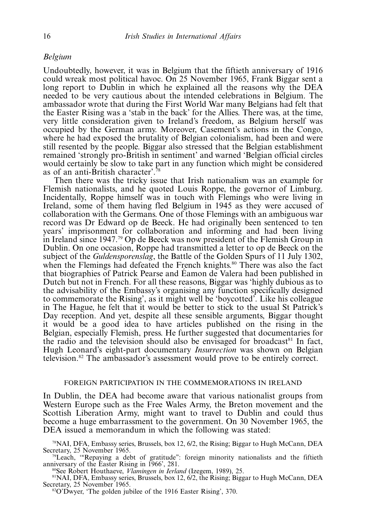# Belgium

Undoubtedly, however, it was in Belgium that the fiftieth anniversary of 1916 could wreak most political havoc. On 25 November 1965, Frank Biggar sent a long report to Dublin in which he explained all the reasons why the DEA needed to be very cautious about the intended celebrations in Belgium. The ambassador wrote that during the First World War many Belgians had felt that the Easter Rising was a 'stab in the back' for the Allies. There was, at the time, very little consideration given to Ireland's freedom, as Belgium herself was occupied by the German army. Moreover, Casement's actions in the Congo, where he had exposed the brutality of Belgian colonialism, had been and were still resented by the people. Biggar also stressed that the Belgian establishment remained 'strongly pro-British in sentiment' and warned 'Belgian official circles would certainly be slow to take part in any function which might be considered as of an anti-British character'.78

Then there was the tricky issue that Irish nationalism was an example for Flemish nationalists, and he quoted Louis Roppe, the governor of Limburg. Incidentally, Roppe himself was in touch with Flemings who were living in Ireland, some of them having fled Belgium in 1945 as they were accused of collaboration with the Germans. One of those Flemings with an ambiguous war record was Dr Edward op de Beeck. He had originally been sentenced to ten years' imprisonment for collaboration and informing and had been living in Ireland since 1947.79 Op de Beeck was now president of the Flemish Group in Dublin. On one occasion, Roppe had transmitted a letter to op de Beeck on the subject of the *Guldensporenslag*, the Battle of the Golden Spurs of 11 July 1302, when the Flemings had defeated the French knights.<sup>80</sup> There was also the fact that biographies of Patrick Pearse and Eamon de Valera had been published in Dutch but not in French. For all these reasons, Biggar was 'highly dubious as to the advisability of the Embassy's organising any function specifically designed to commemorate the Rising', as it might well be 'boycotted'. Like his colleague in The Hague, he felt that it would be better to stick to the usual St Patrick's Day reception. And yet, despite all these sensible arguments, Biggar thought it would be a good idea to have articles published on the rising in the Belgian, especially Flemish, press. He further suggested that documentaries for the radio and the television should also be envisaged for broadcast $81$  In fact, Hugh Leonard's eight-part documentary Insurrection was shown on Belgian television.82 The ambassador's assessment would prove to be entirely correct.

#### FOREIGN PARTICIPATION IN THE COMMEMORATIONS IN IRELAND

In Dublin, the DEA had become aware that various nationalist groups from Western Europe such as the Free Wales Army, the Breton movement and the Scottish Liberation Army, might want to travel to Dublin and could thus become a huge embarrassment to the government. On 30 November 1965, the DEA issued a memorandum in which the following was stated:

<sup>78</sup>NAI, DFA, Embassy series, Brussels, box 12, 6/2, the Rising; Biggar to Hugh McCann, DEA Secretary, 25 November 1965. Secretary, 25 November 1965.<br><sup>79</sup>Leach, "Repaying a debt of gratitude": foreign minority nationalists and the fiftieth

anniversary of the Easter Rising in 1966', 281.<br><sup>80</sup>See Robert Houthaeve, *Vlamingen in Ierland* (Izegem, 1989), 25. 81NAI, DFA, Embassy series, Brussels, box 12, 6/2, the Rising; Biggar to Hugh McCann, DEA

<sup>81</sup>NAI, DFA, Embassy series, Brussels, box 12,  $6/2$ , the Rising; Biggar to Hugh McCann, DEA Secretary, 25 November 1965.<br><sup>82</sup>O'Dwyer, 'The golden jubilee of the 1916 Easter Rising', 370.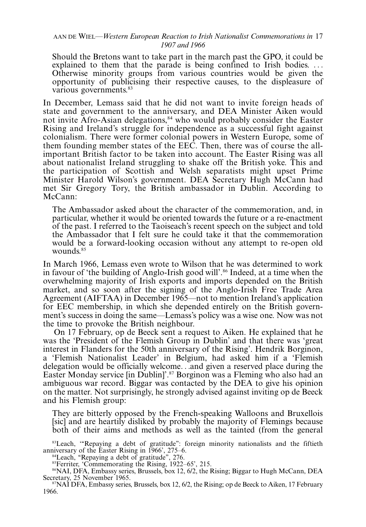# AAN DE WIEL—Western European Reaction to Irish Nationalist Commemorations in 17 1907 and 1966

Should the Bretons want to take part in the march past the GPO, it could be explained to them that the parade is being confined to Irish bodies... Otherwise minority groups from various countries would be given the opportunity of publicising their respective causes, to the displeasure of various governments.<sup>83</sup>

In December, Lemass said that he did not want to invite foreign heads of state and government to the anniversary, and DEA Minister Aiken would not invite Afro-Asian delegations,<sup>84</sup> who would probably consider the Easter Rising and Ireland's struggle for independence as a successful fight against colonialism. There were former colonial powers in Western Europe, some of them founding member states of the EEC. Then, there was of course the allimportant British factor to be taken into account. The Easter Rising was all about nationalist Ireland struggling to shake off the British yoke. This and the participation of Scottish and Welsh separatists might upset Prime Minister Harold Wilson's government. DEA Secretary Hugh McCann had met Sir Gregory Tory, the British ambassador in Dublin. According to McCann:

The Ambassador asked about the character of the commemoration, and, in particular, whether it would be oriented towards the future or a re-enactment of the past. I referred to the Taoiseach's recent speech on the subject and told the Ambassador that I felt sure he could take it that the commemoration would be a forward-looking occasion without any attempt to re-open old wounds.<sup>85</sup>

In March 1966, Lemass even wrote to Wilson that he was determined to work in favour of 'the building of Anglo-Irish good will'.<sup>86</sup> Indeed, at a time when the overwhelming majority of Irish exports and imports depended on the British market, and so soon after the signing of the Anglo-Irish Free Trade Area Agreement (AIFTAA) in December 1965—not to mention Ireland's application for EEC membership, in which she depended entirely on the British government's success in doing the same—Lemass's policy was a wise one. Now was not the time to provoke the British neighbour.

On 17 February, op de Beeck sent a request to Aiken. He explained that he was the 'President of the Flemish Group in Dublin' and that there was 'great interest in Flanders for the 50th anniversary of the Rising'. Hendrik Borginon, a 'Flemish Nationalist Leader' in Belgium, had asked him if a 'Flemish delegation would be officially welcome...and given a reserved place during the Easter Monday service [in Dublin]'.<sup>87</sup> Borginon was a Fleming who also had an ambiguous war record. Biggar was contacted by the DEA to give his opinion on the matter. Not surprisingly, he strongly advised against inviting op de Beeck and his Flemish group:

They are bitterly opposed by the French-speaking Walloons and Bruxellois [sic] and are heartily disliked by probably the majority of Flemings because both of their aims and methods as well as the tainted (from the general

<sup>83</sup>Leach, "Repaying a debt of gratitude": foreign minority nationalists and the fiftieth anniversary of the Easter Rising in 1966', 275-

6. 84Leach, ''Repaying a debt of gratitude'', 276.

<sup>85</sup>Ferriter, 'Commemorating the Rising, 1922-65', 215.

<sup>86</sup>NAI, DFA, Embassy series, Brussels, box 12, 6/2, the Rising; Biggar to Hugh McCann, DEA Secretary, 25 November 1965.

 $\rm NNAI$  DFA, Embassy series, Brussels, box 12, 6/2, the Rising; op de Beeck to Aiken, 17 February 1966.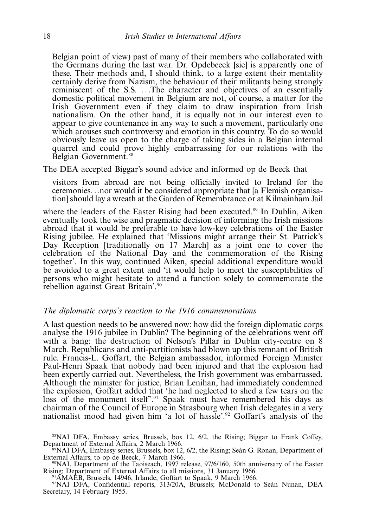Belgian point of view) past of many of their members who collaborated with the Germans during the last war. Dr. Opdebeeck [sic] is apparently one of these. Their methods and, I should think, to a large extent their mentality certainly derive from Nazism, the behaviour of their militants being strongly reminiscent of the S.S. ...The character and objectives of an essentially domestic political movement in Belgium are not, of course, a matter for the Irish Government even if they claim to draw inspiration from Irish nationalism. On the other hand, it is equally not in our interest even to appear to give countenance in any way to such a movement, particularly one which arouses such controversy and emotion in this country. To do so would obviously leave us open to the charge of taking sides in a Belgian internal quarrel and could prove highly embarrassing for our relations with the Belgian Government.<sup>88</sup>

The DEA accepted Biggar's sound advice and informed op de Beeck that

visitors from abroad are not being officially invited to Ireland for the ceremonies...nor would it be considered appropriate that [a Flemish organisation] should lay a wreath at the Garden of Remembrance or at Kilmainham Jail

where the leaders of the Easter Rising had been executed.<sup>89</sup> In Dublin, Aiken eventually took the wise and pragmatic decision of informing the Irish missions abroad that it would be preferable to have low-key celebrations of the Easter Rising jubilee. He explained that 'Missions might arrange their St. Patrick's Day Reception [traditionally on 17 March] as a joint one to cover the celebration of the National Day and the commemoration of the Rising together'. In this way, continued Aiken, special additional expenditure would be avoided to a great extent and 'it would help to meet the susceptibilities of persons who might hesitate to attend a function solely to commemorate the rebellion against Great Britain'.90

# The diplomatic corps's reaction to the 1916 commemorations

A last question needs to be answered now: how did the foreign diplomatic corps analyse the 1916 jubilee in Dublin? The beginning of the celebrations went off with a bang: the destruction of Nelson's Pillar in Dublin city-centre on 8 March. Republicans and anti-partitionists had blown up this remnant of British rule. Francis-L. Goffart, the Belgian ambassador, informed Foreign Minister Paul-Henri Spaak that nobody had been injured and that the explosion had been expertly carried out. Nevertheless, the Irish government was embarrassed. Although the minister for justice, Brian Lenihan, had immediately condemned the explosion, Goffart added that 'he had neglected to shed a few tears on the loss of the monument itself'.<sup>91</sup> Spaak must have remembered his days as chairman of the Council of Europe in Strasbourg when Irish delegates in a very nationalist mood had given him 'a lot of hassle'.92 Goffart's analysis of the

<sup>88</sup>NAI DFA, Embassy series, Brussels, box 12, 6/2, the Rising; Biggar to Frank Coffey, Department of External Affairs, 2 March 1966.

<sup>§9</sup>NAI DFA, Embassy series, Brussels, box 12,  $6/2$ , the Rising; Seán G. Ronan, Department of External Affairs, to op de Beeck, 7 March 1966.

<sup>90</sup>NAI, Department of the Taoiseach, 1997 release, 97/6/160, 50th anniversary of the Easter Rising; Department of External Affairs to all missions, 31 January 1966. Rising; Department of External Affairs to all missions, 31 January 1966.<br><sup>91</sup>AMAEB, Brussels, 14946, Irlande; Goffart to Spaak, 9 March 1966.

<sup>92</sup>NAI DFA, Confidential reports, 313/20A, Brussels; McDonald to Seán Nunan, DEA Secretary, 14 February 1955.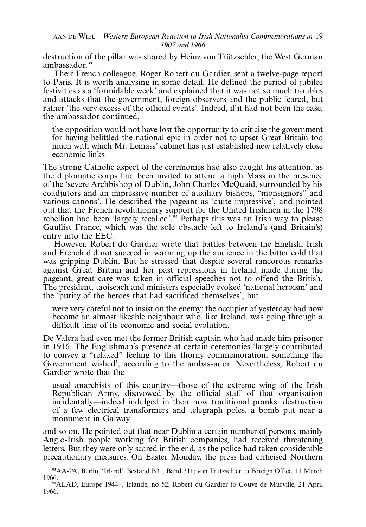destruction of the pillar was shared by Heinz von Trützschler, the West German ambassador.<sup>93</sup>

Their French colleague, Roger Robert du Gardier, sent a twelve-page report to Paris. It is worth analysing in some detail. He defined the period of jubilee festivities as a 'formidable week' and explained that it was not so much troubles and attacks that the government, foreign observers and the public feared, but rather 'the very excess of the official events'. Indeed, if it had not been the case, the ambassador continued,

the opposition would not have lost the opportunity to criticise the government for having belittled the national epic in order not to upset Great Britain too much with which Mr. Lemass' cabinet has just established new relatively close economic links.

The strong Catholic aspect of the ceremonies had also caught his attention, as the diplomatic corps had been invited to attend a high Mass in the presence of the 'severe Archbishop of Dublin, John Charles McQuaid, surrounded by his coadjutors and an impressive number of auxiliary bishops, ''monsignors'' and various canons'. He described the pageant as 'quite impressive', and pointed out that the French revolutionary support for the United Irishmen in the 1798 rebellion had been 'largely recalled'. $94$  Perhaps this was an Irish way to please Gaullist France, which was the sole obstacle left to Ireland's (and Britain's) entry into the EEC.

However, Robert du Gardier wrote that battles between the English, Irish and French did not succeed in warming up the audience in the bitter cold that was gripping Dublin. But he stressed that despite several rancorous remarks against Great Britain and her past repressions in Ireland made during the pageant, great care was taken in official speeches not to offend the British. The president, taoiseach and ministers especially evoked 'national heroism' and the 'purity of the heroes that had sacrificed themselves', but

were very careful not to insist on the enemy; the occupier of yesterday had now become an almost likeable neighbour who, like Ireland, was going through a difficult time of its economic and social evolution.

De Valera had even met the former British captain who had made him prisoner in 1916. The Englishman's presence at certain ceremonies 'largely contributed to convey a ''relaxed'' feeling to this thorny commemoration, something the Government wished', according to the ambassador. Nevertheless, Robert du Gardier wrote that the

usual anarchists of this country—those of the extreme wing of the Irish Republican Army, disavowed by the official staff of that organisation incidentally—indeed indulged in their now traditional pranks: destruction of a few electrical transformers and telegraph poles, a bomb put near a monument in Galway

and so on. He pointed out that near Dublin a certain number of persons, mainly Anglo-Irish people working for British companies, had received threatening letters. But they were only scared in the end, as the police had taken considerable precautionary measures. On Easter Monday, the press had criticised Northern

<sup>&</sup>lt;sup>93</sup>AA-PA, Berlin, 'Irland', Bestand B31, Band 311; von Trützschler to Foreign Office, 11 March 1966. 1966. 94AEAD, Europe 1944-, Irlande, no 52; Robert du Gardier to Couve de Murville, 21 April

<sup>1966.</sup>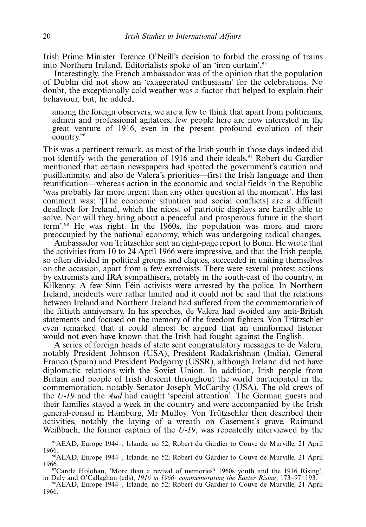Irish Prime Minister Terence O'Neill's decision to forbid the crossing of trains into Northern Ireland. Editorialists spoke of an 'iron curtain'.95

Interestingly, the French ambassador was of the opinion that the population of Dublin did not show an 'exaggerated enthusiasm' for the celebrations. No doubt, the exceptionally cold weather was a factor that helped to explain their behaviour, but, he added,

among the foreign observers, we are a few to think that apart from politicians, admen and professional agitators, few people here are now interested in the great venture of 1916, even in the present profound evolution of their country.96

This was a pertinent remark, as most of the Irish youth in those days indeed did not identify with the generation of 1916 and their ideals.<sup>97</sup> Robert du Gardier mentioned that certain newspapers had spotted the government's caution and pusillanimity, and also de Valera's priorities—first the Irish language and then reunification—whereas action in the economic and social fields in the Republic 'was probably far more urgent than any other question at the moment'. His last comment was: '[The economic situation and social conflicts] are a difficult deadlock for Ireland, which the nicest of patriotic displays are hardly able to solve. Nor will they bring about a peaceful and prosperous future in the short term'.98 He was right. In the 1960s, the population was more and more preoccupied by the national economy, which was undergoing radical changes.

Ambassador von Trützschler sent an eight-page report to Bonn. He wrote that the activities from 10 to 24 April 1966 were impressive, and that the Irish people, so often divided in political groups and cliques, succeeded in uniting themselves on the occasion, apart from a few extremists. There were several protest actions by extremists and IRA sympathisers, notably in the south-east of the country, in Kilkenny. A few Sinn Féin activists were arrested by the police. In Northern Ireland, incidents were rather limited and it could not be said that the relations between Ireland and Northern Ireland had suffered from the commemoration of the fiftieth anniversary. In his speeches, de Valera had avoided any anti-British statements and focused on the memory of the freedom fighters. Von Trützschler even remarked that it could almost be argued that an uninformed listener would not even have known that the Irish had fought against the English.

A series of foreign heads of state sent congratulatory messages to de Valera, notably President Johnson (USA), President Radakrishnan (India), General Franco (Spain) and President Podgorny (USSR), although Ireland did not have diplomatic relations with the Soviet Union. In addition, Irish people from Britain and people of Irish descent throughout the world participated in the commemoration, notably Senator Joseph McCarthy (USA). The old crews of the U-19 and the Aud had caught 'special attention'. The German guests and their families stayed a week in the country and were accompanied by the Irish general-consul in Hamburg, Mr Mulloy. Von Trützschler then described their activities, notably the laying of a wreath on Casement's grave. Raimund Weißbach, the former captain of the U-19, was repeatedly interviewed by the

<sup>95</sup>AEAD, Europe 1944-, Irlande, no 52; Robert du Gardier to Couve de Murville, 21 April 1966.<br><sup>96</sup>AEAD, Europe 1944–, Irlande, no 52; Robert du Gardier to Couve de Murville, 21 April

<sup>1966.</sup> 97Carole Holohan, 'More than a revival of memories? 1960s youth and the 1916 Rising',

in Daly and O'Callaghan (eds), 1916 in 1966: commemorating the Easter Rising, 173–97: 193.<br><sup>98</sup>AEAD, Europe 1944–, Irlande, no 52; Robert du Gardier to Couve de Murville, 21 April 1966.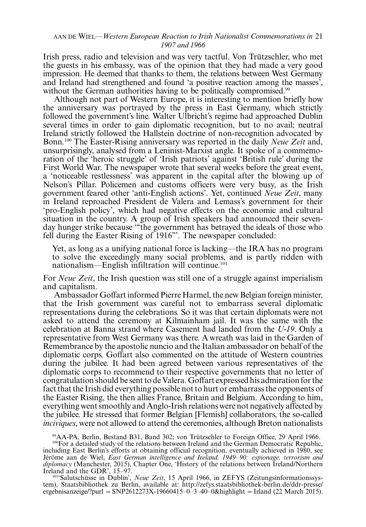#### AAN DE WIEL—Western European Reaction to Irish Nationalist Commemorations in 21 1907 and 1966

Irish press, radio and television and was very tactful. Von Trützschler, who met the guests in his embassy, was of the opinion that they had made a very good impression. He deemed that thanks to them, the relations between West Germany and Ireland had strengthened and found 'a positive reaction among the masses', without the German authorities having to be politically compromised.<sup>99</sup>

Although not part of Western Europe, it is interesting to mention briefly how the anniversary was portrayed by the press in East Germany, which strictly followed the government's line. Walter Ulbricht's regime had approached Dublin several times in order to gain diplomatic recognition, but to no avail; neutral Ireland strictly followed the Hallstein doctrine of non-recognition advocated by Bonn.<sup>100</sup> The Easter-Rising anniversary was reported in the daily *Neue Zeit* and, unsurprisingly, analysed from a Leninist-Marxist angle. It spoke of a commemoration of the 'heroic struggle' of 'Irish patriots' against 'British rule' during the First World War. The newspaper wrote that several weeks before the great event, a 'noticeable restlessness' was apparent in the capital after the blowing up of Nelson's Pillar. Policemen and customs officers were very busy, as the Irish government feared other 'anti-English actions'. Yet, continued Neue Zeit, many in Ireland reproached President de Valera and Lemass's government for their 'pro-English policy', which had negative effects on the economic and cultural situation in the country. A group of Irish speakers had announced their sevenday hunger strike because '''the government has betrayed the ideals of those who fell during the Easter Rising of 1916'''. The newspaper concluded:

Yet, as long as a unifying national force is lacking—the IRA has no program to solve the exceedingly many social problems, and is partly ridden with nationalism-English infiltration will continue.<sup>101</sup>

For *Neue Zeit*, the Irish question was still one of a struggle against imperialism and capitalism.

Ambassador Goffart informed Pierre Harmel, the new Belgian foreign minister, that the Irish government was careful not to embarrass several diplomatic representations during the celebrations. So it was that certain diplomats were not asked to attend the ceremony at Kilmainham jail. It was the same with the celebration at Banna strand where Casement had landed from the U-19. Only a representative from West Germany was there. A wreath was laid in the Garden of Remembrance by the apostolic nuncio and the Italian ambassador on behalf of the diplomatic corps. Goffart also commented on the attitude of Western countries during the jubilee. It had been agreed between various representatives of the diplomatic corps to recommend to their respective governments that no letter of congratulation should be sent to de Valera. Goffart expressed his admiration for the fact that the Irish did everything possible not to hurt or embarrass the opponents of the Easter Rising, the then allies France, Britain and Belgium. According to him, everything went smoothly and Anglo-Irish relations were not negatively affected by the jubilee. He stressed that former Belgian [Flemish] collaborators, the so-called inciviques, were not allowed to attend the ceremonies, although Breton nationalists

<sup>99</sup>AA-PA, Berlin, Bestand B31, Band 302; von Trützschler to Foreign Office, 29 April 1966. <sup>100</sup>For a detailed study of the relations between Ireland and the German Democratic Republic,

including East Berlin's efforts at obtaining official recognition, eventually achieved in 1980, see Jérôme aan de Wiel, *East German intelligence and Ireland, 1949–90: espionage, terrorism and* diplomacy (Manchester, 2015), Chapter One, 'History of the relations between Ireland/Northern

Ireland and the GDR', 15–97.<br><sup>101</sup>'Salutschüsse in Dublin', *Neue Zeit*, 15 April 1966, in ZEFYS (Zeitungsinformationssystem), Staatsbibliothek zu Berlin, available at: [http://zefys.staatsbibliothek-berlin.de/ddr-presse/](http://zefys.staatsbibliothek-berlin.de/ddr-presse/ergebnisanzeige/?purl=SNP2612273X-19660415–0–3–40–0&highlight=Irland) [ergebnisanzeige/?purl](http://zefys.staatsbibliothek-berlin.de/ddr-presse/ergebnisanzeige/?purl=SNP2612273X-19660415–0–3–40–0&highlight=Irland) = [SNP2612273X-19660415](http://zefys.staatsbibliothek-berlin.de/ddr-presse/ergebnisanzeige/?purl=SNP2612273X-19660415–0–3–40–0&highlight=Irland)-[0](http://zefys.staatsbibliothek-berlin.de/ddr-presse/ergebnisanzeige/?purl=SNP2612273X-19660415–0–3–40–0&highlight=Irland)-[3](http://zefys.staatsbibliothek-berlin.de/ddr-presse/ergebnisanzeige/?purl=SNP2612273X-19660415–0–3–40–0&highlight=Irland)-[40](http://zefys.staatsbibliothek-berlin.de/ddr-presse/ergebnisanzeige/?purl=SNP2612273X-19660415–0–3–40–0&highlight=Irland)-[0&highlight](http://zefys.staatsbibliothek-berlin.de/ddr-presse/ergebnisanzeige/?purl=SNP2612273X-19660415–0–3–40–0&highlight=Irland) = [Irland](http://zefys.staatsbibliothek-berlin.de/ddr-presse/ergebnisanzeige/?purl=SNP2612273X-19660415–0–3–40–0&highlight=Irland) (22 March 2015).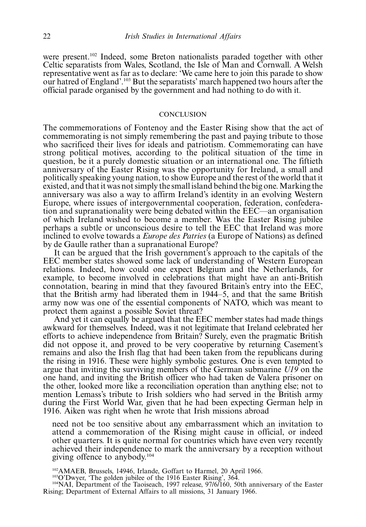were present.102 Indeed, some Breton nationalists paraded together with other Celtic separatists from Wales, Scotland, the Isle of Man and Cornwall. A Welsh representative went as far as to declare: 'We came here to join this parade to show our hatred of England'.103 But the separatists' march happened two hours after the official parade organised by the government and had nothing to do with it.

#### **CONCLUSION**

The commemorations of Fontenoy and the Easter Rising show that the act of commemorating is not simply remembering the past and paying tribute to those who sacrificed their lives for ideals and patriotism. Commemorating can have strong political motives, according to the political situation of the time in question, be it a purely domestic situation or an international one. The fiftieth anniversary of the Easter Rising was the opportunity for Ireland, a small and politically speaking young nation, to show Europe and the rest of the world that it existed, and that it was not simply the small island behind the big one. Marking the anniversary was also a way to affirm Ireland's identity in an evolving Western Europe, where issues of intergovernmental cooperation, federation, confederation and supranationality were being debated within the EEC—an organisation of which Ireland wished to become a member. Was the Easter Rising jubilee perhaps a subtle or unconscious desire to tell the EEC that Ireland was more inclined to evolve towards a Europe des Patries (a Europe of Nations) as defined by de Gaulle rather than a supranational Europe?

It can be argued that the Irish government's approach to the capitals of the EEC member states showed some lack of understanding of Western European relations. Indeed, how could one expect Belgium and the Netherlands, for example, to become involved in celebrations that might have an anti-British connotation, bearing in mind that they favoured Britain's entry into the EEC, that the British army had liberated them in 1944-5, and that the same British army now was one of the essential components of NATO, which was meant to protect them against a possible Soviet threat?

And yet it can equally be argued that the EEC member states had made things awkward for themselves. Indeed, was it not legitimate that Ireland celebrated her efforts to achieve independence from Britain? Surely, even the pragmatic British did not oppose it, and proved to be very cooperative by returning Casement's remains and also the Irish flag that had been taken from the republicans during the rising in 1916. These were highly symbolic gestures. One is even tempted to argue that inviting the surviving members of the German submarine U19 on the one hand, and inviting the British officer who had taken de Valera prisoner on the other, looked more like a reconciliation operation than anything else; not to mention Lemass's tribute to Irish soldiers who had served in the British army during the First World War, given that he had been expecting German help in 1916. Aiken was right when he wrote that Irish missions abroad

need not be too sensitive about any embarrassment which an invitation to attend a commemoration of the Rising might cause in official, or indeed other quarters. It is quite normal for countries which have even very recently achieved their independence to mark the anniversary by a reception without giving offence to anybody.104

<sup>102</sup>AMAEB, Brussels, 14946, Irlande, Goffart to Harmel, 20 April 1966.<br><sup>103</sup>O'Dwyer, 'The golden jubilee of the 1916 Easter Rising', 364.<br><sup>104</sup>NAI, Department of the Taoiseach, 1997 release, 97/6/160, 50th anniversary of Rising; Department of External Affairs to all missions, 31 January 1966.